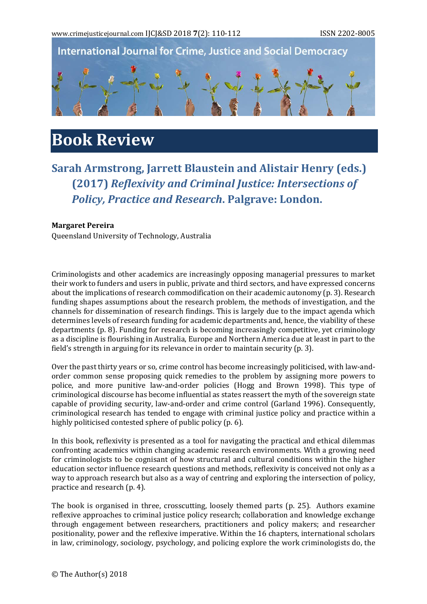



## **Book Review**

## **Sarah Armstrong, Jarrett Blaustein and Alistair Henry (eds.) (2017)** *Reflexivity and Criminal Justice: Intersections of Policy, Practice and Research***. Palgrave: London.**

## **Margaret Pereira**

Queensland University of Technology, Australia

Criminologists and other academics are increasingly opposing managerial pressures to market their work to funders and users in public, private and third sectors, and have expressed concerns about the implications of research commodification on their academic autonomy (p. 3). Research funding shapes assumptions about the research problem, the methods of investigation, and the channels for dissemination of research findings. This is largely due to the impact agenda which determines levels of research funding for academic departments and, hence, the viability of these departments (p. 8). Funding for research is becoming increasingly competitive, yet criminology as a discipline is flourishing in Australia, Europe and Northern America due at least in part to the field's strength in arguing for its relevance in order to maintain security (p. 3).

Over the past thirty years or so, crime control has become increasingly politicised, with law-andorder common sense proposing quick remedies to the problem by assigning more powers to police, and more punitive law-and-order policies (Hogg and Brown 1998). This type of criminological discourse has become influential as states reassert the myth of the sovereign state capable of providing security, law-and-order and crime control (Garland 1996). Consequently, criminological research has tended to engage with criminal justice policy and practice within a highly politicised contested sphere of public policy (p. 6).

In this book, reflexivity is presented as a tool for navigating the practical and ethical dilemmas confronting academics within changing academic research environments. With a growing need for criminologists to be cognisant of how structural and cultural conditions within the higher education sector influence research questions and methods, reflexivity is conceived not only as a way to approach research but also as a way of centring and exploring the intersection of policy, practice and research (p. 4).

The book is organised in three, crosscutting, loosely themed parts (p. 25). Authors examine reflexive approaches to criminal justice policy research; collaboration and knowledge exchange through engagement between researchers, practitioners and policy makers; and researcher positionality, power and the reflexive imperative. Within the 16 chapters, international scholars in law, criminology, sociology, psychology, and policing explore the work criminologists do, the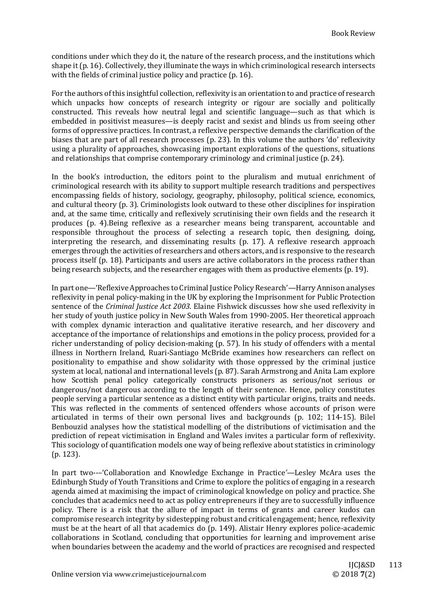conditions under which they do it, the nature of the research process, and the institutions which shape it (p. 16). Collectively, they illuminate the ways in which criminological research intersects with the fields of criminal justice policy and practice (p. 16).

For the authors of this insightful collection, reflexivity is an orientation to and practice of research which unpacks how concepts of research integrity or rigour are socially and politically constructed. This reveals how neutral legal and scientific language—such as that which is embedded in positivist measures—is deeply racist and sexist and blinds us from seeing other forms of oppressive practices. In contrast, a reflexive perspective demands the clarification of the biases that are part of all research processes (p. 23). In this volume the authors 'do' reflexivity using a plurality of approaches, showcasing important explorations of the questions, situations and relationships that comprise contemporary criminology and criminal justice (p. 24).

In the book's introduction, the editors point to the pluralism and mutual enrichment of criminological research with its ability to support multiple research traditions and perspectives encompassing fields of history, sociology, geography, philosophy, political science, economics, and cultural theory (p. 3). Criminologists look outward to these other disciplines for inspiration and, at the same time, critically and reflexively scrutinising their own fields and the research it produces (p. 4).Being reflexive as a researcher means being transparent, accountable and responsible throughout the process of selecting a research topic, then designing, doing, interpreting the research, and disseminating results (p. 17). A reflexive research approach emerges through the activities of researchers and others actors, and is responsive to the research process itself (p. 18). Participants and users are active collaborators in the process rather than being research subjects, and the researcher engages with them as productive elements (p. 19).

In part one—'Reflexive Approaches to Criminal Justice Policy Research'*—*Harry Annison analyses reflexivity in penal policy-making in the UK by exploring the Imprisonment for Public Protection sentence of the *Criminal Justice Act 2003*. Elaine Fishwick discusses how she used reflexivity in her study of youth justice policy in New South Wales from 1990-2005. Her theoretical approach with complex dynamic interaction and qualitative iterative research, and her discovery and acceptance of the importance of relationships and emotions in the policy process, provided for a richer understanding of policy decision-making (p. 57). In his study of offenders with a mental illness in Northern Ireland, Ruari-Santiago McBride examines how researchers can reflect on positionality to empathise and show solidarity with those oppressed by the criminal justice system at local, national and international levels (p. 87). Sarah Armstrong and Anita Lam explore how Scottish penal policy categorically constructs prisoners as serious/not serious or dangerous/not dangerous according to the length of their sentence. Hence, policy constitutes people serving a particular sentence as a distinct entity with particular origins, traits and needs. This was reflected in the comments of sentenced offenders whose accounts of prison were articulated in terms of their own personal lives and backgrounds (p. 102; 114-15). Bilel Benbouzid analyses how the statistical modelling of the distributions of victimisation and the prediction of repeat victimisation in England and Wales invites a particular form of reflexivity. This sociology of quantification models one way of being reflexive about statistics in criminology (p. 123).

In part two--–'Collaboration and Knowledge Exchange in Practice*'—*Lesley McAra uses the Edinburgh Study of Youth Transitions and Crime to explore the politics of engaging in a research agenda aimed at maximising the impact of criminological knowledge on policy and practice. She concludes that academics need to act as policy entrepreneurs if they are to successfully influence policy. There is a risk that the allure of impact in terms of grants and career kudos can compromise research integrity by sidestepping robust and critical engagement; hence, reflexivity must be at the heart of all that academics do (p. 149). Alistair Henry explores police-academic collaborations in Scotland, concluding that opportunities for learning and improvement arise when boundaries between the academy and the world of practices are recognised and respected